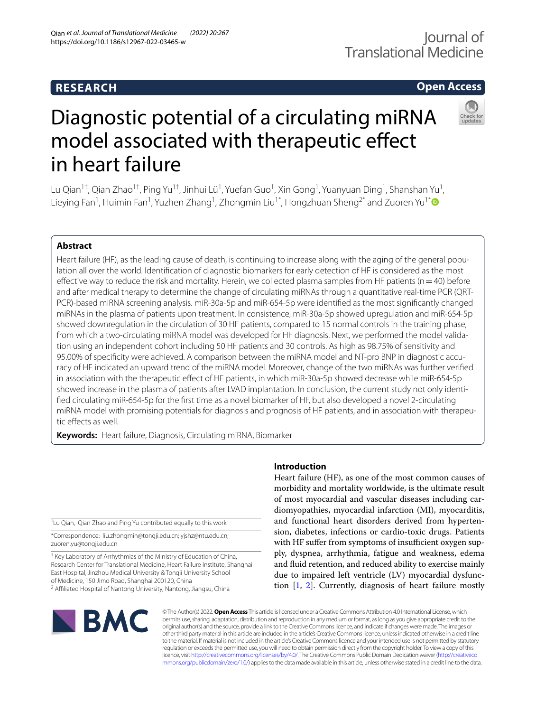# **RESEARCH**

## **Open Access**



# Diagnostic potential of a circulating miRNA model associated with therapeutic effect in heart failure

Lu Qian<sup>1†</sup>, Qian Zhao<sup>1†</sup>, Ping Yu<sup>1†</sup>, Jinhui Lü<sup>1</sup>, Yuefan Guo<sup>1</sup>, Xin Gong<sup>1</sup>, Yuanyuan Ding<sup>1</sup>, Shanshan Yu<sup>1</sup>, Lieying Fan<sup>1</sup>, Huimin Fan<sup>1</sup>, Yuzhen Zhang<sup>1</sup>, Zhongmin Liu<sup>1\*</sup>, Hongzhuan Sheng<sup>2\*</sup> and Zuoren Yu<sup>1\*</sup>

## **Abstract**

Heart failure (HF), as the leading cause of death, is continuing to increase along with the aging of the general population all over the world. Identifcation of diagnostic biomarkers for early detection of HF is considered as the most effective way to reduce the risk and mortality. Herein, we collected plasma samples from HF patients ( $n=40$ ) before and after medical therapy to determine the change of circulating miRNAs through a quantitative real-time PCR (QRT-PCR)-based miRNA screening analysis. miR-30a-5p and miR-654-5p were identifed as the most signifcantly changed miRNAs in the plasma of patients upon treatment. In consistence, miR-30a-5p showed upregulation and miR-654-5p showed downregulation in the circulation of 30 HF patients, compared to 15 normal controls in the training phase, from which a two-circulating miRNA model was developed for HF diagnosis. Next, we performed the model validation using an independent cohort including 50 HF patients and 30 controls. As high as 98.75% of sensitivity and 95.00% of specifcity were achieved. A comparison between the miRNA model and NT-pro BNP in diagnostic accuracy of HF indicated an upward trend of the miRNA model. Moreover, change of the two miRNAs was further verifed in association with the therapeutic effect of HF patients, in which miR-30a-5p showed decrease while miR-654-5p showed increase in the plasma of patients after LVAD implantation. In conclusion, the current study not only identifed circulating miR-654-5p for the frst time as a novel biomarker of HF, but also developed a novel 2-circulating miRNA model with promising potentials for diagnosis and prognosis of HF patients, and in association with therapeutic effects as well.

**Keywords:** Heart failure, Diagnosis, Circulating miRNA, Biomarker

† Lu Qian, Qian Zhao and Ping Yu contributed equally to this work

\*Correspondence: liu.zhongmin@tongji.edu.cn; yjshz@ntu.edu.cn; zuoren.yu@tongji.edu.cn

<sup>1</sup> Key Laboratory of Arrhythmias of the Ministry of Education of China, Research Center for Translational Medicine, Heart Failure Institute, Shanghai East Hospital, Jinzhou Medical University & Tongji University School of Medicine, 150 Jimo Road, Shanghai 200120, China

<sup>2</sup> Affiliated Hospital of Nantong University, Nantong, Jiangsu, China

# **Introduction**

Heart failure (HF), as one of the most common causes of morbidity and mortality worldwide, is the ultimate result of most myocardial and vascular diseases including cardiomyopathies, myocardial infarction (MI), myocarditis, and functional heart disorders derived from hypertension, diabetes, infections or cardio-toxic drugs. Patients with HF suffer from symptoms of insufficient oxygen supply, dyspnea, arrhythmia, fatigue and weakness, edema and fuid retention, and reduced ability to exercise mainly due to impaired left ventricle (LV) myocardial dysfunction [[1,](#page-11-0) [2\]](#page-11-1). Currently, diagnosis of heart failure mostly



© The Author(s) 2022. **Open Access** This article is licensed under a Creative Commons Attribution 4.0 International License, which permits use, sharing, adaptation, distribution and reproduction in any medium or format, as long as you give appropriate credit to the original author(s) and the source, provide a link to the Creative Commons licence, and indicate if changes were made. The images or other third party material in this article are included in the article's Creative Commons licence, unless indicated otherwise in a credit line to the material. If material is not included in the article's Creative Commons licence and your intended use is not permitted by statutory regulation or exceeds the permitted use, you will need to obtain permission directly from the copyright holder. To view a copy of this licence, visit [http://creativecommons.org/licenses/by/4.0/.](http://creativecommons.org/licenses/by/4.0/) The Creative Commons Public Domain Dedication waiver ([http://creativeco](http://creativecommons.org/publicdomain/zero/1.0/) [mmons.org/publicdomain/zero/1.0/](http://creativecommons.org/publicdomain/zero/1.0/)) applies to the data made available in this article, unless otherwise stated in a credit line to the data.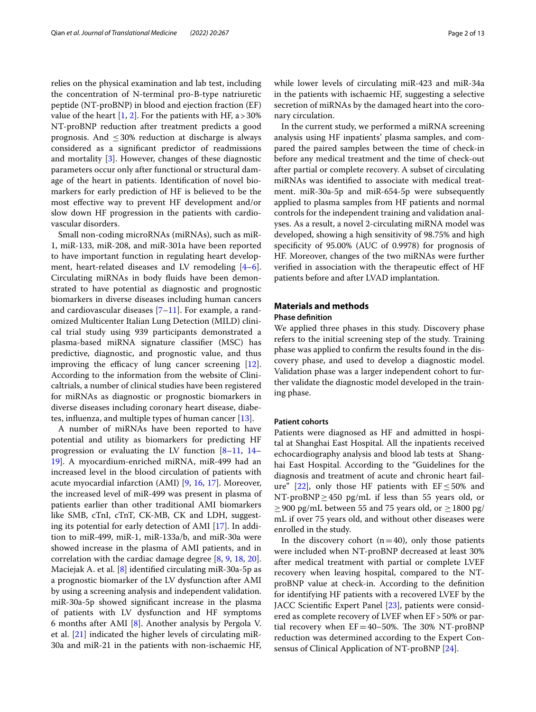relies on the physical examination and lab test, including the concentration of N-terminal pro-B-type natriuretic peptide (NT-proBNP) in blood and ejection fraction (EF) value of the heart  $[1, 2]$  $[1, 2]$  $[1, 2]$ . For the patients with HF, a  $>$  30% NT-proBNP reduction after treatment predicts a good prognosis. And  $\leq$  30% reduction at discharge is always considered as a signifcant predictor of readmissions and mortality [\[3\]](#page-11-2). However, changes of these diagnostic parameters occur only after functional or structural damage of the heart in patients. Identifcation of novel biomarkers for early prediction of HF is believed to be the most efective way to prevent HF development and/or slow down HF progression in the patients with cardiovascular disorders.

Small non-coding microRNAs (miRNAs), such as miR-1, miR-133, miR-208, and miR-301a have been reported to have important function in regulating heart development, heart-related diseases and LV remodeling [\[4](#page-11-3)[–6](#page-11-4)]. Circulating miRNAs in body fuids have been demonstrated to have potential as diagnostic and prognostic biomarkers in diverse diseases including human cancers and cardiovascular diseases [\[7](#page-11-5)–[11\]](#page-11-6). For example, a randomized Multicenter Italian Lung Detection (MILD) clinical trial study using 939 participants demonstrated a plasma-based miRNA signature classifer (MSC) has predictive, diagnostic, and prognostic value, and thus improving the efficacy of lung cancer screening  $[12]$  $[12]$ . According to the information from the website of Clinicaltrials, a number of clinical studies have been registered for miRNAs as diagnostic or prognostic biomarkers in diverse diseases including coronary heart disease, diabetes, infuenza, and multiple types of human cancer [\[13](#page-11-8)].

A number of miRNAs have been reported to have potential and utility as biomarkers for predicting HF progression or evaluating the LV function [\[8–](#page-11-9)[11,](#page-11-6) [14–](#page-11-10) [19\]](#page-11-11). A myocardium-enriched miRNA, miR-499 had an increased level in the blood circulation of patients with acute myocardial infarction (AMI) [\[9](#page-11-12), [16](#page-11-13), [17](#page-11-14)]. Moreover, the increased level of miR-499 was present in plasma of patients earlier than other traditional AMI biomarkers like SMB, cTnI, cTnT, CK-MB, CK and LDH, suggesting its potential for early detection of AMI [[17](#page-11-14)]. In addition to miR-499, miR-1, miR-133a/b, and miR-30a were showed increase in the plasma of AMI patients, and in correlation with the cardiac damage degree [[8,](#page-11-9) [9,](#page-11-12) [18](#page-11-15), [20](#page-11-16)]. Maciejak A. et al. [\[8](#page-11-9)] identifed circulating miR-30a-5p as a prognostic biomarker of the LV dysfunction after AMI by using a screening analysis and independent validation. miR-30a-5p showed signifcant increase in the plasma of patients with LV dysfunction and HF symptoms 6 months after AMI [[8](#page-11-9)]. Another analysis by Pergola V. et al. [\[21](#page-11-17)] indicated the higher levels of circulating miR-30a and miR-21 in the patients with non-ischaemic HF, while lower levels of circulating miR-423 and miR-34a in the patients with ischaemic HF, suggesting a selective secretion of miRNAs by the damaged heart into the coronary circulation.

In the current study, we performed a miRNA screening analysis using HF inpatients' plasma samples, and compared the paired samples between the time of check-in before any medical treatment and the time of check-out after partial or complete recovery. A subset of circulating miRNAs was identifed to associate with medical treatment. miR-30a-5p and miR-654-5p were subsequently applied to plasma samples from HF patients and normal controls for the independent training and validation analyses. As a result, a novel 2-circulating miRNA model was developed, showing a high sensitivity of 98.75% and high specifcity of 95.00% (AUC of 0.9978) for prognosis of HF. Moreover, changes of the two miRNAs were further verifed in association with the therapeutic efect of HF patients before and after LVAD implantation.

## **Materials and methods**

## **Phase defnition**

We applied three phases in this study. Discovery phase refers to the initial screening step of the study. Training phase was applied to confrm the results found in the discovery phase, and used to develop a diagnostic model. Validation phase was a larger independent cohort to further validate the diagnostic model developed in the training phase.

#### **Patient cohorts**

Patients were diagnosed as HF and admitted in hospital at Shanghai East Hospital. All the inpatients received echocardiography analysis and blood lab tests at Shanghai East Hospital. According to the "Guidelines for the diagnosis and treatment of acute and chronic heart fail-ure" [\[22](#page-11-18)], only those HF patients with  $EF \le 50\%$  and NT-proBNP $\geq$ 450 pg/mL if less than 55 years old, or  $≥$ 900 pg/mL between 55 and 75 years old, or  $≥$ 1800 pg/ mL if over 75 years old, and without other diseases were enrolled in the study.

In the discovery cohort  $(n=40)$ , only those patients were included when NT-proBNP decreased at least 30% after medical treatment with partial or complete LVEF recovery when leaving hospital, compared to the NTproBNP value at check-in. According to the defnition for identifying HF patients with a recovered LVEF by the JACC Scientifc Expert Panel [\[23](#page-11-19)], patients were considered as complete recovery of LVEF when EF>50% or partial recovery when  $EF = 40-50\%$ . The 30% NT-proBNP reduction was determined according to the Expert Consensus of Clinical Application of NT-proBNP [[24\]](#page-11-20).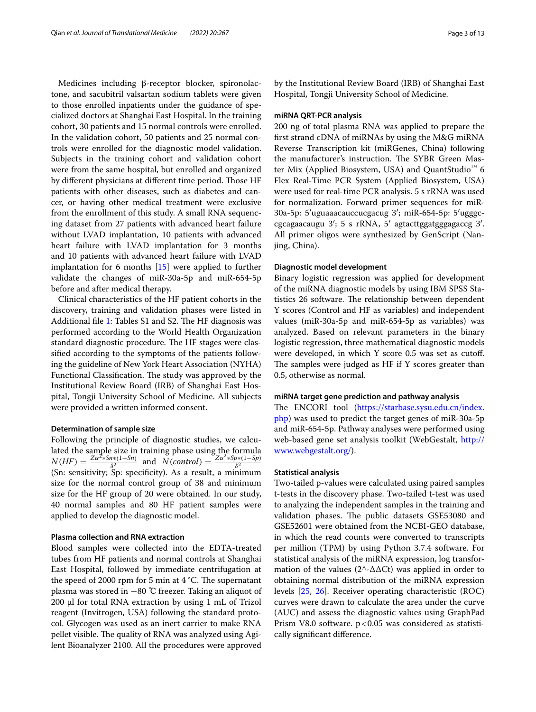Medicines including β-receptor blocker, spironolactone, and sacubitril valsartan sodium tablets were given to those enrolled inpatients under the guidance of specialized doctors at Shanghai East Hospital. In the training cohort, 30 patients and 15 normal controls were enrolled. In the validation cohort, 50 patients and 25 normal controls were enrolled for the diagnostic model validation. Subjects in the training cohort and validation cohort were from the same hospital, but enrolled and organized by different physicians at different time period. Those HF patients with other diseases, such as diabetes and cancer, or having other medical treatment were exclusive from the enrollment of this study. A small RNA sequencing dataset from 27 patients with advanced heart failure without LVAD implantation, 10 patients with advanced heart failure with LVAD implantation for 3 months and 10 patients with advanced heart failure with LVAD implantation for 6 months [\[15](#page-11-21)] were applied to further validate the changes of miR-30a-5p and miR-654-5p before and after medical therapy.

Clinical characteristics of the HF patient cohorts in the discovery, training and validation phases were listed in Additional file [1:](#page-10-0) Tables S1 and S2. The HF diagnosis was performed according to the World Health Organization standard diagnostic procedure. The HF stages were classifed according to the symptoms of the patients following the guideline of New York Heart Association (NYHA) Functional Classification. The study was approved by the Institutional Review Board (IRB) of Shanghai East Hospital, Tongji University School of Medicine. All subjects were provided a written informed consent.

#### **Determination of sample size**

Following the principle of diagnostic studies, we calculated the sample size in training phase using the formula  $N(HF) = \frac{Z\alpha^2 * Sn*(1-Sn)}{\delta^2}$  and  $N(control) = \frac{Z\alpha^2 * Sp*(1-Sp)}{\delta^2}$ (Sn: sensitivity; Sp: specifcity). As a result, a minimum size for the normal control group of 38 and minimum size for the HF group of 20 were obtained. In our study, 40 normal samples and 80 HF patient samples were applied to develop the diagnostic model.

## **Plasma collection and RNA extraction**

Blood samples were collected into the EDTA-treated tubes from HF patients and normal controls at Shanghai East Hospital, followed by immediate centrifugation at the speed of 2000 rpm for 5 min at 4  $\degree$ C. The supernatant plasma was stored in −80 ℃ freezer. Taking an aliquot of 200 µl for total RNA extraction by using 1 mL of Trizol reagent (Invitrogen, USA) following the standard protocol. Glycogen was used as an inert carrier to make RNA pellet visible. The quality of RNA was analyzed using Agilent Bioanalyzer 2100. All the procedures were approved by the Institutional Review Board (IRB) of Shanghai East Hospital, Tongji University School of Medicine.

## **miRNA QRT‑PCR analysis**

200 ng of total plasma RNA was applied to prepare the frst strand cDNA of miRNAs by using the M&G miRNA Reverse Transcription kit (miRGenes, China) following the manufacturer's instruction. The SYBR Green Master Mix (Applied Biosystem, USA) and QuantStudio<sup>™</sup> 6 Flex Real-Time PCR System (Applied Biosystem, USA) were used for real-time PCR analysis. 5 s rRNA was used for normalization. Forward primer sequences for miR-30a-5p: 5′uguaaacauccucgacug 3′; miR-654-5p: 5′ugggccgcagaacaugu 3′; 5 s rRNA, 5′ agtacttggatgggagaccg 3′. All primer oligos were synthesized by GenScript (Nanjing, China).

#### **Diagnostic model development**

Binary logistic regression was applied for development of the miRNA diagnostic models by using IBM SPSS Statistics 26 software. The relationship between dependent Y scores (Control and HF as variables) and independent values (miR-30a-5p and miR-654-5p as variables) was analyzed. Based on relevant parameters in the binary logistic regression, three mathematical diagnostic models were developed, in which Y score 0.5 was set as cutof. The samples were judged as HF if  $Y$  scores greater than 0.5, otherwise as normal.

#### **miRNA target gene prediction and pathway analysis**

The ENCORI tool ([https://starbase.sysu.edu.cn/index.](https://starbase.sysu.edu.cn/index.php) [php\)](https://starbase.sysu.edu.cn/index.php) was used to predict the target genes of miR-30a-5p and miR-654-5p. Pathway analyses were performed using web-based gene set analysis toolkit (WebGestalt, [http://](http://www.webgestalt.org/) [www.webgestalt.org/](http://www.webgestalt.org/)).

#### **Statistical analysis**

Two-tailed p-values were calculated using paired samples t-tests in the discovery phase. Two-tailed t-test was used to analyzing the independent samples in the training and validation phases. The public datasets GSE53080 and GSE52601 were obtained from the NCBI-GEO database, in which the read counts were converted to transcripts per million (TPM) by using Python 3.7.4 software. For statistical analysis of the miRNA expression, log transformation of the values (2^-∆∆Ct) was applied in order to obtaining normal distribution of the miRNA expression levels [[25](#page-11-22), [26](#page-11-23)]. Receiver operating characteristic (ROC) curves were drawn to calculate the area under the curve (AUC) and assess the diagnostic values using GraphPad Prism V8.0 software. p<0.05 was considered as statistically signifcant diference.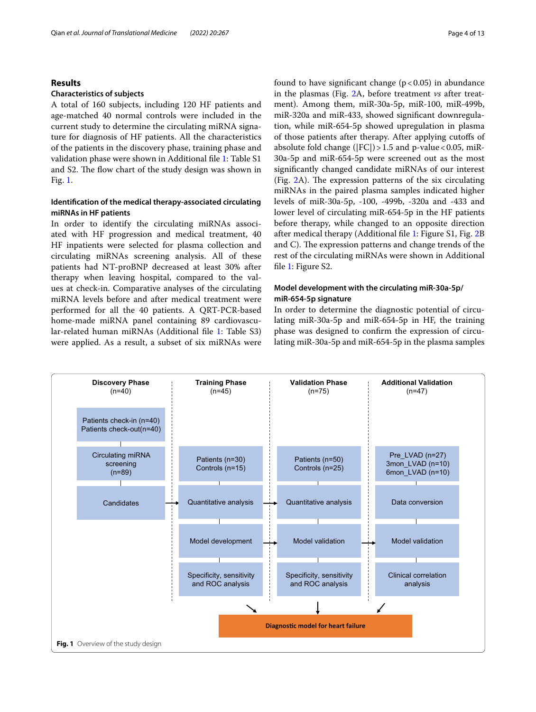## **Results**

### **Characteristics of subjects**

A total of 160 subjects, including 120 HF patients and age-matched 40 normal controls were included in the current study to determine the circulating miRNA signature for diagnosis of HF patients. All the characteristics of the patients in the discovery phase, training phase and validation phase were shown in Additional fle [1:](#page-10-0) Table S1 and S2. The flow chart of the study design was shown in Fig. [1.](#page-3-0)

## **Identifcation of the medical therapy‑associated circulating miRNAs in HF patients**

In order to identify the circulating miRNAs associated with HF progression and medical treatment, 40 HF inpatients were selected for plasma collection and circulating miRNAs screening analysis. All of these patients had NT-proBNP decreased at least 30% after therapy when leaving hospital, compared to the values at check-in. Comparative analyses of the circulating miRNA levels before and after medical treatment were performed for all the 40 patients. A QRT-PCR-based home-made miRNA panel containing 89 cardiovascular-related human miRNAs (Additional fle [1:](#page-10-0) Table S3) were applied. As a result, a subset of six miRNAs were found to have significant change  $(p < 0.05)$  in abundance in the plasmas (Fig. [2A](#page-4-0), before treatment *vs* after treatment). Among them, miR-30a-5p, miR-100, miR-499b, miR-320a and miR-433, showed signifcant downregulation, while miR-654-5p showed upregulation in plasma of those patients after therapy. After applying cutofs of absolute fold change ( $|FC|$ ) > 1.5 and p-value < 0.05, miR-30a-5p and miR-654-5p were screened out as the most signifcantly changed candidate miRNAs of our interest (Fig.  $2A$  $2A$ ). The expression patterns of the six circulating miRNAs in the paired plasma samples indicated higher levels of miR-30a-5p, -100, -499b, -320a and -433 and lower level of circulating miR-654-5p in the HF patients before therapy, while changed to an opposite direction after medical therapy (Additional fle [1:](#page-10-0) Figure S1, Fig. [2B](#page-4-0) and C). The expression patterns and change trends of the rest of the circulating miRNAs were shown in Additional file [1](#page-10-0): Figure S2.

## **Model development with the circulating miR‑30a‑5p/ miR‑654‑5p signature**

In order to determine the diagnostic potential of circulating miR-30a-5p and miR-654-5p in HF, the training phase was designed to confrm the expression of circulating miR-30a-5p and miR-654-5p in the plasma samples

<span id="page-3-0"></span>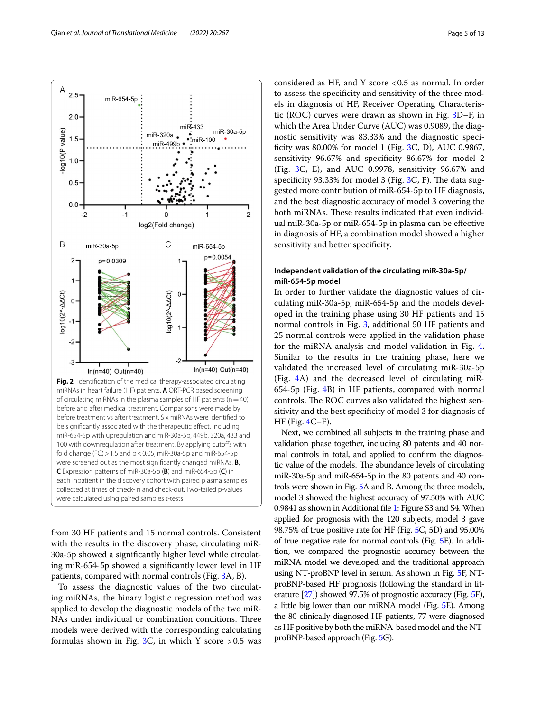

<span id="page-4-0"></span>from 30 HF patients and 15 normal controls. Consistent with the results in the discovery phase, circulating miR-30a-5p showed a signifcantly higher level while circulating miR-654-5p showed a signifcantly lower level in HF patients, compared with normal controls (Fig. [3A](#page-5-0), B).

To assess the diagnostic values of the two circulating miRNAs, the binary logistic regression method was applied to develop the diagnostic models of the two miR-NAs under individual or combination conditions. Three models were derived with the corresponding calculating formulas shown in Fig. [3](#page-5-0)C, in which Y score  $>0.5$  was

considered as HF, and Y score <0.5 as normal. In order to assess the specifcity and sensitivity of the three models in diagnosis of HF, Receiver Operating Characteristic (ROC) curves were drawn as shown in Fig. [3D](#page-5-0)–F, in which the Area Under Curve (AUC) was 0.9089, the diagnostic sensitivity was 83.33% and the diagnostic speci-ficity was 80.00% for model 1 (Fig. [3](#page-5-0)C, D), AUC 0.9867, sensitivity 96.67% and specifcity 86.67% for model 2 (Fig. [3C](#page-5-0), E), and AUC 0.9978, sensitivity 96.67% and specificity 93.33% for model 3 (Fig. [3C](#page-5-0), F). The data suggested more contribution of miR-654-5p to HF diagnosis, and the best diagnostic accuracy of model 3 covering the both miRNAs. These results indicated that even individual miR-30a-5p or miR-654-5p in plasma can be efective in diagnosis of HF, a combination model showed a higher sensitivity and better specifcity.

## **Independent validation of the circulating miR‑30a‑5p/ miR‑654‑5p model**

In order to further validate the diagnostic values of circulating miR-30a-5p, miR-654-5p and the models developed in the training phase using 30 HF patients and 15 normal controls in Fig. [3,](#page-5-0) additional 50 HF patients and 25 normal controls were applied in the validation phase for the miRNA analysis and model validation in Fig. [4](#page-6-0). Similar to the results in the training phase, here we validated the increased level of circulating miR-30a-5p (Fig. [4A](#page-6-0)) and the decreased level of circulating miR-654-5p (Fig. [4](#page-6-0)B) in HF patients, compared with normal controls. The ROC curves also validated the highest sensitivity and the best specifcity of model 3 for diagnosis of  $HF$  (Fig.  $4C-F$ ).

Next, we combined all subjects in the training phase and validation phase together, including 80 patents and 40 normal controls in total, and applied to confrm the diagnostic value of the models. The abundance levels of circulating miR-30a-5p and miR-654-5p in the 80 patents and 40 controls were shown in Fig. [5A](#page-7-0) and B. Among the three models, model 3 showed the highest accuracy of 97.50% with AUC 0.9841 as shown in Additional fle [1](#page-10-0): Figure S3 and S4. When applied for prognosis with the 120 subjects, model 3 gave 98.75% of true positive rate for HF (Fig. [5C](#page-7-0), 5D) and 95.00% of true negative rate for normal controls (Fig. [5](#page-7-0)E). In addition, we compared the prognostic accuracy between the miRNA model we developed and the traditional approach using NT-proBNP level in serum. As shown in Fig. [5F](#page-7-0), NTproBNP-based HF prognosis (following the standard in literature [\[27](#page-11-24)]) showed 97.5% of prognostic accuracy (Fig. [5](#page-7-0)F), a little big lower than our miRNA model (Fig. [5E](#page-7-0)). Among the 80 clinically diagnosed HF patients, 77 were diagnosed as HF positive by both the miRNA-based model and the NTproBNP-based approach (Fig. [5G](#page-7-0)).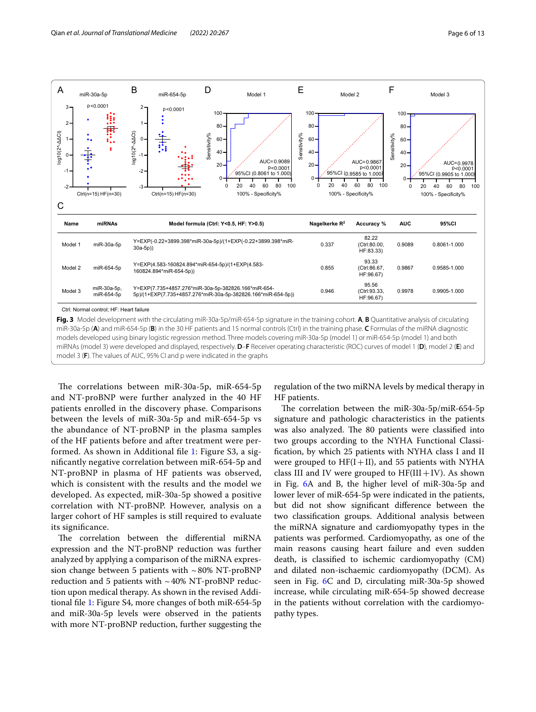

<span id="page-5-0"></span>models developed using binary logistic regression method. Three models covering miR-30a-5p (model 1) or miR-654-5p (model 1) and both miRNAs (model 3) were developed and displayed, respectively. **D**–**F** Receiver operating characteristic (ROC) curves of model 1 (**D**), model 2 (**E**) and model 3 (**F**). The values of AUC, 95% CI and p were indicated in the graphs

The correlations between miR-30a-5p, miR-654-5p and NT-proBNP were further analyzed in the 40 HF patients enrolled in the discovery phase. Comparisons between the levels of miR-30a-5p and miR-654-5p vs the abundance of NT-proBNP in the plasma samples of the HF patients before and after treatment were performed. As shown in Additional fle [1](#page-10-0): Figure S3, a signifcantly negative correlation between miR-654-5p and NT-proBNP in plasma of HF patients was observed, which is consistent with the results and the model we developed. As expected, miR-30a-5p showed a positive correlation with NT-proBNP. However, analysis on a larger cohort of HF samples is still required to evaluate its signifcance.

The correlation between the differential miRNA expression and the NT-proBNP reduction was further analyzed by applying a comparison of the miRNA expression change between 5 patients with  $\sim 80\%$  NT-proBNP reduction and 5 patients with  $\sim$  40% NT-proBNP reduction upon medical therapy. As shown in the revised Additional fle [1:](#page-10-0) Figure S4, more changes of both miR-654-5p and miR-30a-5p levels were observed in the patients with more NT-proBNP reduction, further suggesting the

regulation of the two miRNA levels by medical therapy in HF patients.

The correlation between the miR-30a-5p/miR-654-5p signature and pathologic characteristics in the patients was also analyzed. The 80 patients were classified into two groups according to the NYHA Functional Classifcation, by which 25 patients with NYHA class I and II were grouped to  $HF(I+II)$ , and 55 patients with NYHA class III and IV were grouped to  $HF(III + IV)$ . As shown in Fig. [6A](#page-8-0) and B, the higher level of miR-30a-5p and lower lever of miR-654-5p were indicated in the patients, but did not show signifcant diference between the two classifcation groups. Additional analysis between the miRNA signature and cardiomyopathy types in the patients was performed. Cardiomyopathy, as one of the main reasons causing heart failure and even sudden death, is classifed to ischemic cardiomyopathy (CM) and dilated non-ischaemic cardiomyopathy (DCM). As seen in Fig. [6](#page-8-0)C and D, circulating miR-30a-5p showed increase, while circulating miR-654-5p showed decrease in the patients without correlation with the cardiomyopathy types.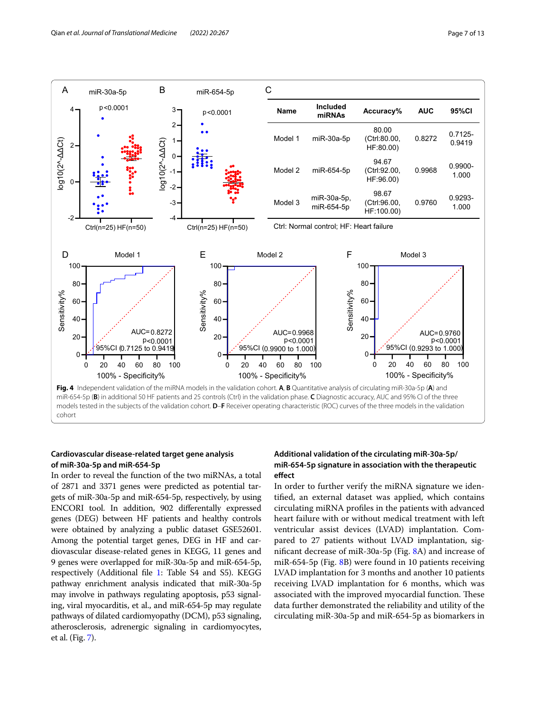

## <span id="page-6-0"></span>**Cardiovascular disease‑related target gene analysis of miR‑30a‑5p and miR‑654‑5p**

In order to reveal the function of the two miRNAs, a total of 2871 and 3371 genes were predicted as potential targets of miR-30a-5p and miR-654-5p, respectively, by using ENCORI tool. In addition, 902 diferentally expressed genes (DEG) between HF patients and healthy controls were obtained by analyzing a public dataset GSE52601. Among the potential target genes, DEG in HF and cardiovascular disease-related genes in KEGG, 11 genes and 9 genes were overlapped for miR-30a-5p and miR-654-5p, respectively (Additional fle [1:](#page-10-0) Table S4 and S5). KEGG pathway enrichment analysis indicated that miR-30a-5p may involve in pathways regulating apoptosis, p53 signaling, viral myocarditis, et al., and miR-654-5p may regulate pathways of dilated cardiomyopathy (DCM), p53 signaling, atherosclerosis, adrenergic signaling in cardiomyocytes, et al. (Fig. [7\)](#page-9-0).

## **Additional validation of the circulating miR‑30a‑5p/ miR‑654‑5p signature in association with the therapeutic efect**

In order to further verify the miRNA signature we identifed, an external dataset was applied, which contains circulating miRNA profles in the patients with advanced heart failure with or without medical treatment with left ventricular assist devices (LVAD) implantation. Compared to 27 patients without LVAD implantation, signifcant decrease of miR-30a-5p (Fig. [8A](#page-10-1)) and increase of miR-654-5p (Fig. [8B](#page-10-1)) were found in 10 patients receiving LVAD implantation for 3 months and another 10 patients receiving LVAD implantation for 6 months, which was associated with the improved myocardial function. These data further demonstrated the reliability and utility of the circulating miR-30a-5p and miR-654-5p as biomarkers in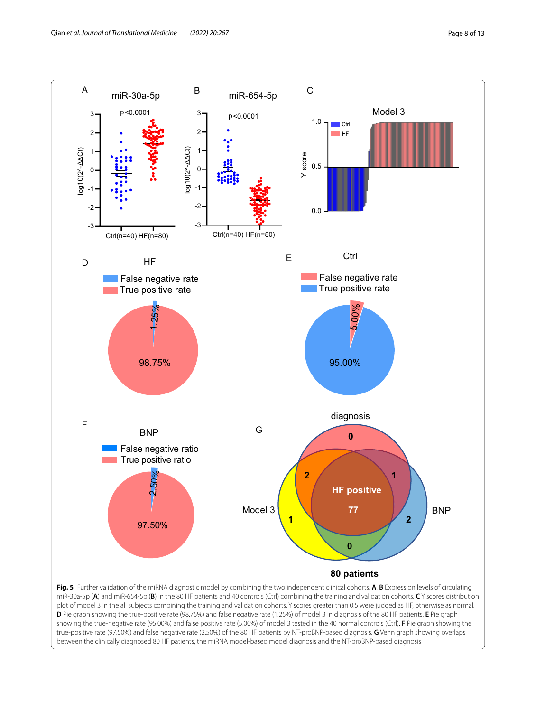

<span id="page-7-0"></span>**D** Pie graph showing the true-positive rate (98.75%) and false negative rate (1.25%) of model 3 in diagnosis of the 80 HF patients. **E** Pie graph showing the true-negative rate (95.00%) and false positive rate (5.00%) of model 3 tested in the 40 normal controls (Ctrl). **F** Pie graph showing the true-positive rate (97.50%) and false negative rate (2.50%) of the 80 HF patients by NT-proBNP-based diagnosis. **G** Venn graph showing overlaps between the clinically diagnosed 80 HF patients, the miRNA model-based model diagnosis and the NT-proBNP-based diagnosis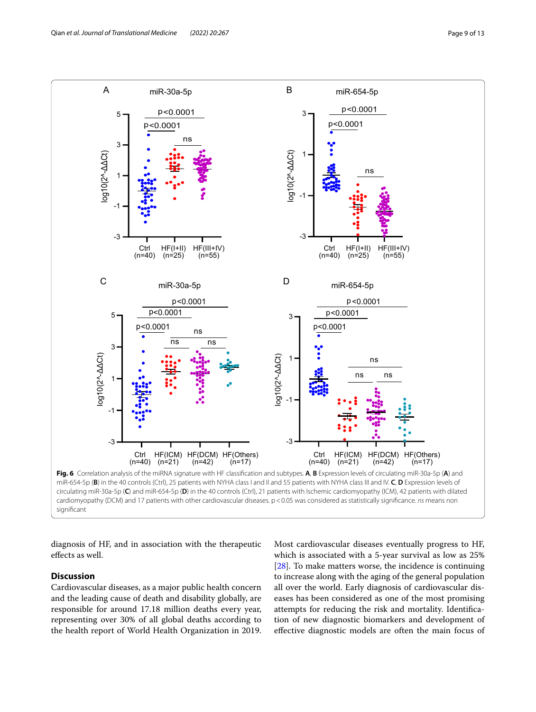

<span id="page-8-0"></span>diagnosis of HF, and in association with the therapeutic efects as well.

## **Discussion**

Cardiovascular diseases, as a major public health concern and the leading cause of death and disability globally, are responsible for around 17.18 million deaths every year, representing over 30% of all global deaths according to the health report of World Health Organization in 2019. Most cardiovascular diseases eventually progress to HF, which is associated with a 5-year survival as low as 25% [[28\]](#page-11-25). To make matters worse, the incidence is continuing to increase along with the aging of the general population all over the world. Early diagnosis of cardiovascular diseases has been considered as one of the most promising attempts for reducing the risk and mortality. Identifcation of new diagnostic biomarkers and development of efective diagnostic models are often the main focus of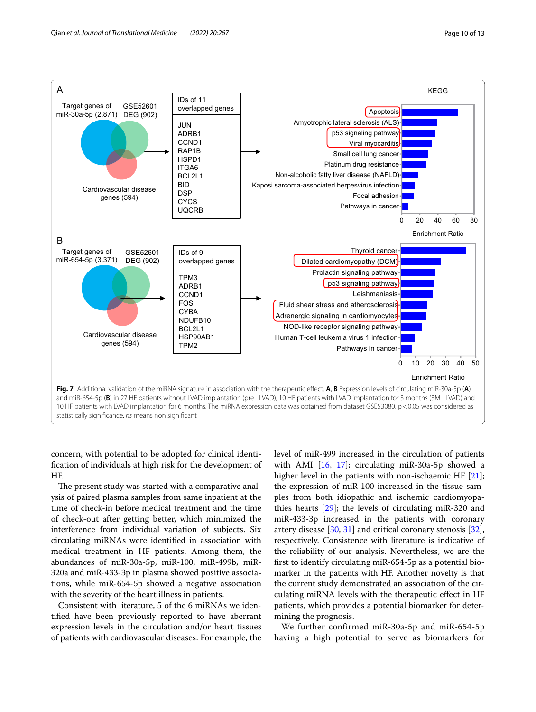

<span id="page-9-0"></span>concern, with potential to be adopted for clinical identifcation of individuals at high risk for the development of HF.

The present study was started with a comparative analysis of paired plasma samples from same inpatient at the time of check-in before medical treatment and the time of check-out after getting better, which minimized the interference from individual variation of subjects. Six circulating miRNAs were identifed in association with medical treatment in HF patients. Among them, the abundances of miR-30a-5p, miR-100, miR-499b, miR-320a and miR-433-3p in plasma showed positive associations, while miR-654-5p showed a negative association with the severity of the heart illness in patients.

Consistent with literature, 5 of the 6 miRNAs we identifed have been previously reported to have aberrant expression levels in the circulation and/or heart tissues of patients with cardiovascular diseases. For example, the level of miR-499 increased in the circulation of patients with AMI [[16](#page-11-13), [17\]](#page-11-14); circulating miR-30a-5p showed a higher level in the patients with non-ischaemic HF [\[21](#page-11-17)]; the expression of miR-100 increased in the tissue samples from both idiopathic and ischemic cardiomyopathies hearts [\[29\]](#page-11-26); the levels of circulating miR-320 and miR-433-3p increased in the patients with coronary artery disease [[30,](#page-11-27) [31](#page-11-28)] and critical coronary stenosis [\[32](#page-11-29)], respectively. Consistence with literature is indicative of the reliability of our analysis. Nevertheless, we are the frst to identify circulating miR-654-5p as a potential biomarker in the patients with HF. Another novelty is that the current study demonstrated an association of the circulating miRNA levels with the therapeutic efect in HF patients, which provides a potential biomarker for determining the prognosis.

We further confirmed miR-30a-5p and miR-654-5p having a high potential to serve as biomarkers for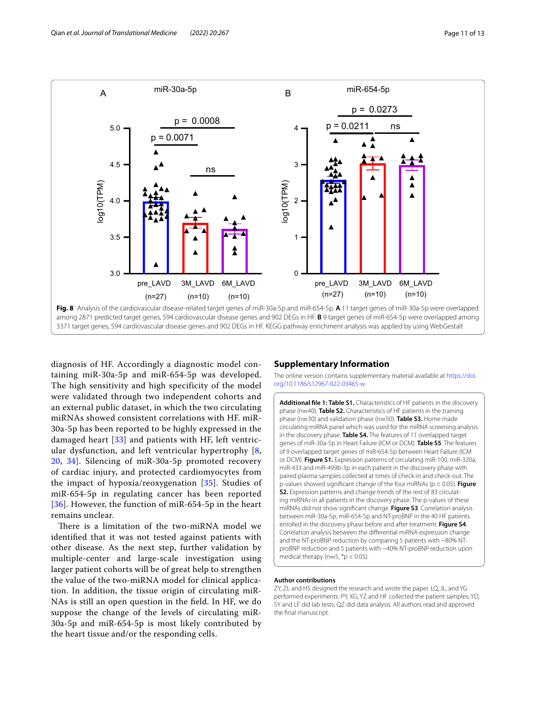

<span id="page-10-1"></span>diagnosis of HF. Accordingly a diagnostic model containing miR-30a-5p and miR-654-5p was developed. The high sensitivity and high specificity of the model were validated through two independent cohorts and an external public dataset, in which the two circulating miRNAs showed consistent correlations with HF. miR-30a-5p has been reported to be highly expressed in the damaged heart [\[33](#page-11-30)] and patients with HF, left ventricular dysfunction, and left ventricular hypertrophy [\[8](#page-11-9), [20,](#page-11-16) [34](#page-11-31)]. Silencing of miR-30a-5p promoted recovery of cardiac injury, and protected cardiomyocytes from the impact of hypoxia/reoxygenation [[35\]](#page-12-0). Studies of miR-654-5p in regulating cancer has been reported [[36](#page-12-1)]. However, the function of miR-654-5p in the heart remains unclear.

There is a limitation of the two-miRNA model we identifed that it was not tested against patients with other disease. As the next step, further validation by multiple-center and large-scale investigation using larger patient cohorts will be of great help to strengthen the value of the two-miRNA model for clinical application. In addition, the tissue origin of circulating miR-NAs is still an open question in the feld. In HF, we do suppose the change of the levels of circulating miR-30a-5p and miR-654-5p is most likely contributed by the heart tissue and/or the responding cells.

## **Supplementary Information**

The online version contains supplementary material available at [https://doi.](https://doi.org/10.1186/s12967-022-03465-w) [org/10.1186/s12967-022-03465-w.](https://doi.org/10.1186/s12967-022-03465-w)

<span id="page-10-0"></span>**Additional fle 1: Table S1.** Characteristics of HF patients in the discovery phase (n=40). **Table S2.** Characteristics of HF patients in the training phase (n=30) and validation phase (n=50). **Table S3.** Home made circulating miRNA panel which was used for the miRNA screening analysis in the discovery phase. **Table S4.** The features of 11 overlapped target genes of miR-30a-5p in Heart Failure (ICM or DCM). **Table S5**. The features of 9 overlapped target genes of miR-654-5p between Heart Failure (ICM or DCM). **Figure S1.** Expression patterns of circulating miR-100, miR-320a, miR-433 and miR-499b-3p in each patient in the discovery phase with paired plasma samples collected at times of check-in and check-out. The p-values showed signifcant change of the four miRNAs (p < 0.05). **Figure S2.** Expression patterns and change trends of the rest of 83 circulating miRNAs in all patients in the discovery phase. The p-values of these miRNAs did not show signifcant change. **Figure S3**. Correlation analysis between miR-30a-5p, miR-654-5p and NT-proBNP in the 40 HF patients enrolled in the discovery phase before and after treatment. **Figure S4**. Correlation analysis between the diferential miRNA expression change and the NT-proBNP reduction by comparing 5 patients with ~80% NTproBNP reduction and 5 patients with ~40% NT-proBNP reduction upon medical therapy ( $n=5$ ,  $*$ p < 0.05).

#### **Author contributions**

ZY, ZL and HS designed the research and wrote the paper. LQ, JL, and YG performed experiments. PY, XG, YZ and HF collected the patient samples; YD, SY and LF did lab tests; QZ did data analysis. All authors read and approved the fnal manuscript.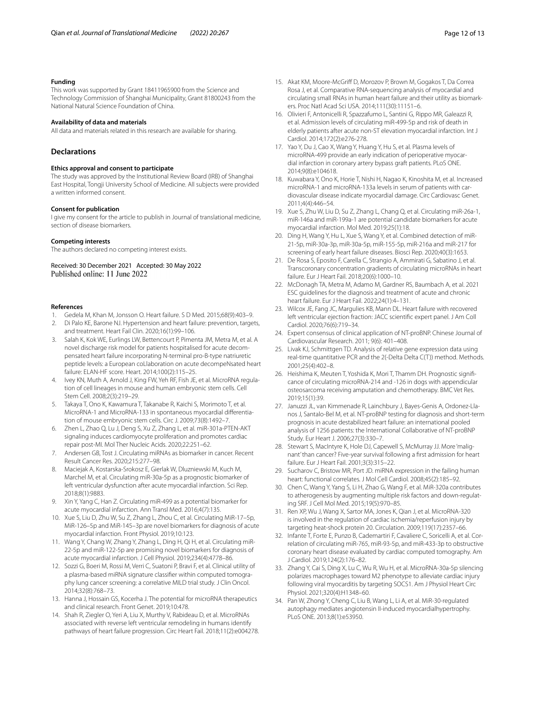#### **Funding**

This work was supported by Grant 18411965900 from the Science and Technology Commission of Shanghai Municipality, Grant 81800243 from the National Natural Science Foundation of China.

#### **Availability of data and materials**

All data and materials related in this research are available for sharing.

## **Declarations**

#### **Ethics approval and consent to participate**

The study was approved by the Institutional Review Board (IRB) of Shanghai East Hospital, Tongji University School of Medicine. All subjects were provided a written informed consent.

#### **Consent for publication**

I give my consent for the article to publish in Journal of translational medicine, section of disease biomarkers.

#### **Competing interests**

The authors declared no competing interest exists.

Received: 30 December 2021 Accepted: 30 May 2022

#### **References**

- <span id="page-11-0"></span>1. Gedela M, Khan M, Jonsson O. Heart failure. S D Med. 2015;68(9):403–9.
- <span id="page-11-1"></span>2. Di Palo KE, Barone NJ. Hypertension and heart failure: prevention, targets, and treatment. Heart Fail Clin. 2020;16(1):99–106.
- <span id="page-11-2"></span>Salah K, Kok WE, Eurlings LW, Bettencourt P, Pimenta JM, Metra M, et al. A novel discharge risk model for patients hospitalised for acute decompensated heart failure incorporating N-terminal pro-B-type natriuretic peptide levels: a European coLlaboration on acute decompeNsated heart failure: ELAN-HF score. Heart. 2014;100(2):115–25.
- <span id="page-11-3"></span>4. Ivey KN, Muth A, Arnold J, King FW, Yeh RF, Fish JE, et al. MicroRNA regulation of cell lineages in mouse and human embryonic stem cells. Cell Stem Cell. 2008;2(3):219–29.
- 5. Takaya T, Ono K, Kawamura T, Takanabe R, Kaichi S, Morimoto T, et al. MicroRNA-1 and MicroRNA-133 in spontaneous myocardial diferentiation of mouse embryonic stem cells. Circ J. 2009;73(8):1492–7.
- <span id="page-11-4"></span>6. Zhen L, Zhao Q, Lu J, Deng S, Xu Z, Zhang L, et al. miR-301a-PTEN-AKT signaling induces cardiomyocyte proliferation and promotes cardiac repair post-MI. Mol Ther Nucleic Acids. 2020;22:251–62.
- <span id="page-11-5"></span>7. Andersen GB, Tost J. Circulating miRNAs as biomarker in cancer. Recent Result Cancer Res. 2020;215:277–98.
- <span id="page-11-9"></span>8. Maciejak A, Kostarska-Srokosz E, Gierlak W, Dluzniewski M, Kuch M, Marchel M, et al. Circulating miR-30a-5p as a prognostic biomarker of left ventricular dysfunction after acute myocardial infarction. Sci Rep. 2018;8(1):9883.
- <span id="page-11-12"></span>9. Xin Y, Yang C, Han Z. Circulating miR-499 as a potential biomarker for acute myocardial infarction. Ann Transl Med. 2016;4(7):135.
- 10. Xue S, Liu D, Zhu W, Su Z, Zhang L, Zhou C, et al. Circulating MiR-17–5p, MiR-126–5p and MiR-145–3p are novel biomarkers for diagnosis of acute myocardial infarction. Front Physiol. 2019;10:123.
- <span id="page-11-6"></span>11. Wang Y, Chang W, Zhang Y, Zhang L, Ding H, Qi H, et al. Circulating miR-22-5p and miR-122-5p are promising novel biomarkers for diagnosis of acute myocardial infarction. J Cell Physiol. 2019;234(4):4778–86.
- <span id="page-11-7"></span>12. Sozzi G, Boeri M, Rossi M, Verri C, Suatoni P, Bravi F, et al. Clinical utility of a plasma-based miRNA signature classifer within computed tomography lung cancer screening: a correlative MILD trial study. J Clin Oncol. 2014;32(8):768–73.
- <span id="page-11-8"></span>13. Hanna J, Hossain GS, Kocerha J. The potential for microRNA therapeutics and clinical research. Front Genet. 2019;10:478.
- <span id="page-11-10"></span>14. Shah R, Ziegler O, Yeri A, Liu X, Murthy V, Rabideau D, et al. MicroRNAs associated with reverse left ventricular remodeling in humans identify pathways of heart failure progression. Circ Heart Fail. 2018;11(2):e004278.
- <span id="page-11-21"></span>15. Akat KM, Moore-McGrif D, Morozov P, Brown M, Gogakos T, Da Correa Rosa J, et al. Comparative RNA-sequencing analysis of myocardial and circulating small RNAs in human heart failure and their utility as biomarkers. Proc Natl Acad Sci USA. 2014;111(30):11151–6.
- <span id="page-11-13"></span>16. Olivieri F, Antonicelli R, Spazzafumo L, Santini G, Rippo MR, Galeazzi R, et al. Admission levels of circulating miR-499-5p and risk of death in elderly patients after acute non-ST elevation myocardial infarction. Int J Cardiol. 2014;172(2):e276-278.
- <span id="page-11-14"></span>17. Yao Y, Du J, Cao X, Wang Y, Huang Y, Hu S, et al. Plasma levels of microRNA-499 provide an early indication of perioperative myocardial infarction in coronary artery bypass graft patients. PLoS ONE. 2014;9(8):e104618.
- <span id="page-11-15"></span>18. Kuwabara Y, Ono K, Horie T, Nishi H, Nagao K, Kinoshita M, et al. Increased microRNA-1 and microRNA-133a levels in serum of patients with cardiovascular disease indicate myocardial damage. Circ Cardiovasc Genet. 2011;4(4):446–54.
- <span id="page-11-11"></span>19. Xue S, Zhu W, Liu D, Su Z, Zhang L, Chang Q, et al. Circulating miR-26a-1, miR-146a and miR-199a-1 are potential candidate biomarkers for acute myocardial infarction. Mol Med. 2019;25(1):18.
- <span id="page-11-16"></span>20. Ding H, Wang Y, Hu L, Xue S, Wang Y, et al. Combined detection of miR-21-5p, miR-30a-3p, miR-30a-5p, miR-155-5p, miR-216a and miR-217 for screening of early heart failure diseases. Biosci Rep. 2020;40(3):1653.
- <span id="page-11-17"></span>21. De Rosa S, Eposito F, Carella C, Strangio A, Ammirati G, Sabatino J, et al. Transcoronary concentration gradients of circulating microRNAs in heart failure. Eur J Heart Fail. 2018;20(6):1000–10.
- <span id="page-11-18"></span>22. McDonagh TA, Metra M, Adamo M, Gardner RS, Baumbach A, et al. 2021 ESC guidelines for the diagnosis and treatment of acute and chronic heart failure. Eur J Heart Fail. 2022;24(1):4–131.
- <span id="page-11-19"></span>23. Wilcox JE, Fang JC, Margulies KB, Mann DL. Heart failure with recovered left ventricular ejection fraction: JACC scientifc expert panel. J Am Coll Cardiol. 2020;76(6):719–34.
- <span id="page-11-20"></span>24. Expert consensus of clinical application of NT-proBNP. Chinese Journal of Cardiovascular Research. 2011; 9(6): 401–408.
- <span id="page-11-22"></span>25. Livak KJ, Schmittgen TD. Analysis of relative gene expression data using real-time quantitative PCR and the 2(-Delta Delta C(T)) method. Methods. 2001;25(4):402–8.
- <span id="page-11-23"></span>26. Heishima K, Meuten T, Yoshida K, Mori T, Thamm DH. Prognostic signifcance of circulating microRNA-214 and -126 in dogs with appendicular osteosarcoma receiving amputation and chemotherapy. BMC Vet Res. 2019;15(1):39.
- <span id="page-11-24"></span>27. Januzzi JL, van Kimmenade R, Lainchbury J, Bayes-Genis A, Ordonez-Llanos J, Santalo-Bel M, et al. NT-proBNP testing for diagnosis and short-term prognosis in acute destabilized heart failure: an international pooled analysis of 1256 patients: the International Collaborative of NT-proBNP Study. Eur Heart J. 2006;27(3):330–7.
- <span id="page-11-25"></span>28. Stewart S, MacIntyre K, Hole DJ, Capewell S, McMurray JJ. More 'malignant' than cancer? Five-year survival following a frst admission for heart failure. Eur J Heart Fail. 2001;3(3):315–22.
- <span id="page-11-26"></span>29. Sucharov C, Bristow MR, Port JD. miRNA expression in the failing human heart: functional correlates. J Mol Cell Cardiol. 2008;45(2):185–92.
- <span id="page-11-27"></span>30. Chen C, Wang Y, Yang S, Li H, Zhao G, Wang F, et al. MiR-320a contributes to atherogenesis by augmenting multiple risk factors and down-regulating SRF. J Cell Mol Med. 2015;19(5):970–85.
- <span id="page-11-28"></span>31. Ren XP, Wu J, Wang X, Sartor MA, Jones K, Qian J, et al. MicroRNA-320 is involved in the regulation of cardiac ischemia/reperfusion injury by targeting heat-shock protein 20. Circulation. 2009;119(17):2357–66.
- <span id="page-11-29"></span>32. Infante T, Forte E, Punzo B, Cademartiri F, Cavaliere C, Soricelli A, et al. Correlation of circulating miR-765, miR-93-5p, and miR-433-3p to obstructive coronary heart disease evaluated by cardiac computed tomography. Am J Cardiol. 2019;124(2):176–82.
- <span id="page-11-30"></span>33. Zhang Y, Cai S, Ding X, Lu C, Wu R, Wu H, et al. MicroRNA-30a-5p silencing polarizes macrophages toward M2 phenotype to alleviate cardiac injury following viral myocarditis by targeting SOCS1. Am J Physiol Heart Circ Physiol. 2021;320(4):H1348–60.
- <span id="page-11-31"></span>34. Pan W, Zhong Y, Cheng C, Liu B, Wang L, Li A, et al. MiR-30-regulated autophagy mediates angiotensin II-induced myocardialhypertrophy. PLoS ONE. 2013;8(1):e53950.